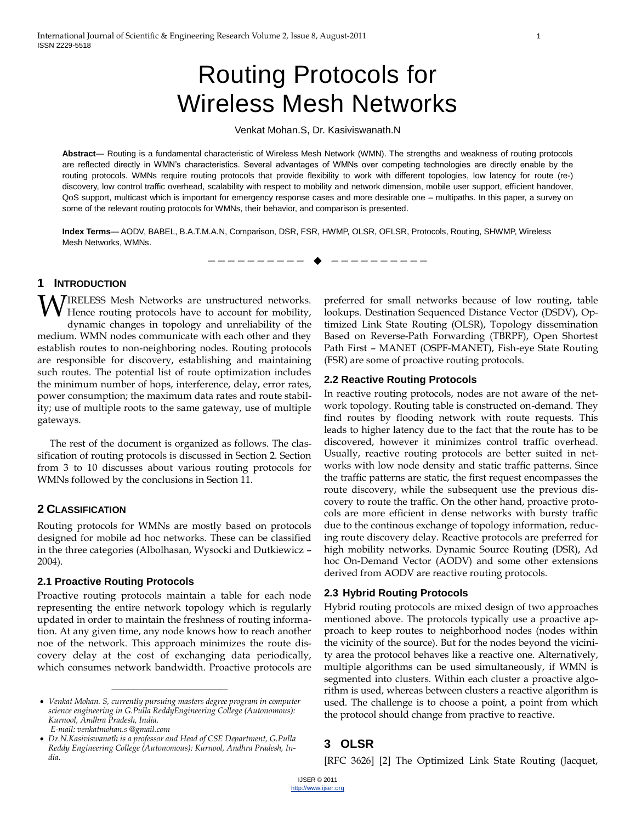# Routing Protocols for Wireless Mesh Networks

Venkat Mohan.S, Dr. Kasiviswanath.N

**Abstract**— Routing is a fundamental characteristic of Wireless Mesh Network (WMN). The strengths and weakness of routing protocols are reflected directly in WMN's characteristics. Several advantages of WMNs over competing technologies are directly enable by the routing protocols. WMNs require routing protocols that provide flexibility to work with different topologies, low latency for route (re-) discovery, low control traffic overhead, scalability with respect to mobility and network dimension, mobile user support, efficient handover, QoS support, multicast which is important for emergency response cases and more desirable one – multipaths. In this paper, a survey on some of the relevant routing protocols for WMNs, their behavior, and comparison is presented.

**Index Terms**— AODV, BABEL, B.A.T.M.A.N, Comparison, DSR, FSR, HWMP, OLSR, OFLSR, Protocols, Routing, SHWMP, Wireless Mesh Networks, WMNs.

—————————— ——————————

## **1 INTRODUCTION**

IRELESS Mesh Networks are unstructured networks. Hence routing protocols have to account for mobility, dynamic changes in topology and unreliability of the medium. WMN nodes communicate with each other and they establish routes to non-neighboring nodes. Routing protocols are responsible for discovery, establishing and maintaining such routes. The potential list of route optimization includes the minimum number of hops, interference, delay, error rates, power consumption; the maximum data rates and route stability; use of multiple roots to the same gateway, use of multiple gateways. W

The rest of the document is organized as follows. The classification of routing protocols is discussed in Section 2. Section from 3 to 10 discusses about various routing protocols for WMNs followed by the conclusions in Section 11.

## **2 CLASSIFICATION**

Routing protocols for WMNs are mostly based on protocols designed for mobile ad hoc networks. These can be classified in the three categories (Albolhasan, Wysocki and Dutkiewicz – 2004).

## **2.1 Proactive Routing Protocols**

Proactive routing protocols maintain a table for each node representing the entire network topology which is regularly updated in order to maintain the freshness of routing information. At any given time, any node knows how to reach another noe of the network. This approach minimizes the route discovery delay at the cost of exchanging data periodically, which consumes network bandwidth. Proactive protocols are

————————————————

preferred for small networks because of low routing, table lookups. Destination Sequenced Distance Vector (DSDV), Optimized Link State Routing (OLSR), Topology dissemination Based on Reverse-Path Forwarding (TBRPF), Open Shortest Path First – MANET (OSPF-MANET), Fish-eye State Routing (FSR) are some of proactive routing protocols.

## **2.2 Reactive Routing Protocols**

In reactive routing protocols, nodes are not aware of the network topology. Routing table is constructed on-demand. They find routes by flooding network with route requests. This leads to higher latency due to the fact that the route has to be discovered, however it minimizes control traffic overhead. Usually, reactive routing protocols are better suited in networks with low node density and static traffic patterns. Since the traffic patterns are static, the first request encompasses the route discovery, while the subsequent use the previous discovery to route the traffic. On the other hand, proactive protocols are more efficient in dense networks with bursty traffic due to the continous exchange of topology information, reducing route discovery delay. Reactive protocols are preferred for high mobility networks. Dynamic Source Routing (DSR), Ad hoc On-Demand Vector (AODV) and some other extensions derived from AODV are reactive routing protocols.

## **2.3 Hybrid Routing Protocols**

Hybrid routing protocols are mixed design of two approaches mentioned above. The protocols typically use a proactive approach to keep routes to neighborhood nodes (nodes within the vicinity of the source). But for the nodes beyond the vicinity area the protocol behaves like a reactive one. Alternatively, multiple algorithms can be used simultaneously, if WMN is segmented into clusters. Within each cluster a proactive algorithm is used, whereas between clusters a reactive algorithm is used. The challenge is to choose a point, a point from which the protocol should change from practive to reactive.

# **3 OLSR**

[RFC 3626] [2] The Optimized Link State Routing (Jacquet,

*Venkat Mohan. S, currently pursuing masters degree program in computer science engineering in G.Pulla ReddyEngineering College (Autonomous): Kurnool, Andhra Pradesh, India. E-mail: venkatmohan.s @gmail.com*

*Dr.N.Kasiviswanath is a professor and Head of CSE Department, G.Pulla Reddy Engineering College (Autonomous): Kurnool, Andhra Pradesh, India.*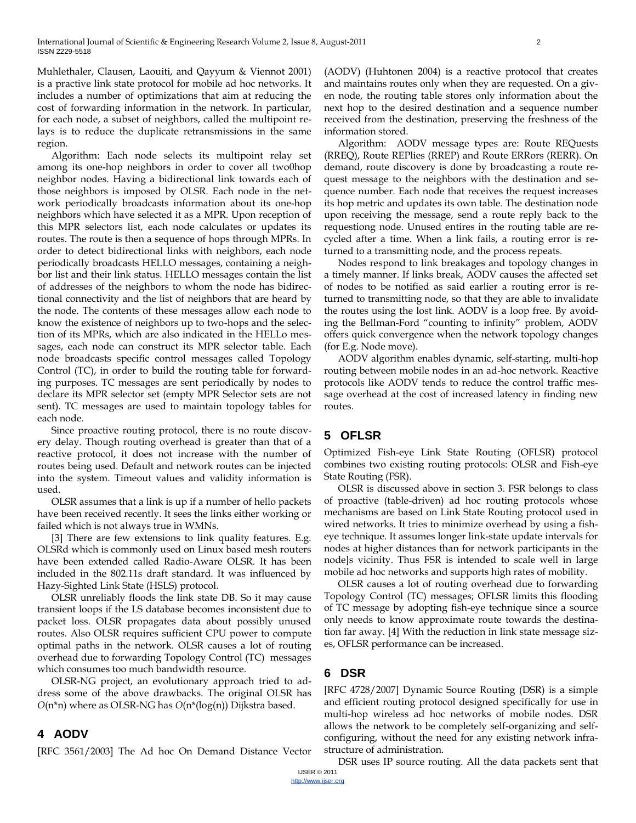Muhlethaler, Clausen, Laouiti, and Qayyum & Viennot 2001) is a practive link state protocol for mobile ad hoc networks. It includes a number of optimizations that aim at reducing the cost of forwarding information in the network. In particular, for each node, a subset of neighbors, called the multipoint relays is to reduce the duplicate retransmissions in the same region.

Algorithm: Each node selects its multipoint relay set among its one-hop neighbors in order to cover all two0hop neighbor nodes. Having a bidirectional link towards each of those neighbors is imposed by OLSR. Each node in the network periodically broadcasts information about its one-hop neighbors which have selected it as a MPR. Upon reception of this MPR selectors list, each node calculates or updates its routes. The route is then a sequence of hops through MPRs. In order to detect bidirectional links with neighbors, each node periodically broadcasts HELLO messages, containing a neighbor list and their link status. HELLO messages contain the list of addresses of the neighbors to whom the node has bidirectional connectivity and the list of neighbors that are heard by the node. The contents of these messages allow each node to know the existence of neighbors up to two-hops and the selection of its MPRs, which are also indicated in the HELLo messages, each node can construct its MPR selector table. Each node broadcasts specific control messages called Topology Control (TC), in order to build the routing table for forwarding purposes. TC messages are sent periodically by nodes to declare its MPR selector set (empty MPR Selector sets are not sent). TC messages are used to maintain topology tables for each node.

Since proactive routing protocol, there is no route discovery delay. Though routing overhead is greater than that of a reactive protocol, it does not increase with the number of routes being used. Default and network routes can be injected into the system. Timeout values and validity information is used.

OLSR assumes that a link is up if a number of hello packets have been received recently. It sees the links either working or failed which is not always true in WMNs.

[3] There are few extensions to link quality features. E.g. OLSRd which is commonly used on Linux based mesh routers have been extended called Radio-Aware OLSR. It has been included in the 802.11s draft standard. It was influenced by Hazy-Sighted Link State (HSLS) protocol.

OLSR unreliably floods the link state DB. So it may cause transient loops if the LS database becomes inconsistent due to packet loss. OLSR propagates data about possibly unused routes. Also OLSR requires sufficient CPU power to compute optimal paths in the network. OLSR causes a lot of routing overhead due to forwarding Topology Control (TC) messages which consumes too much bandwidth resource.

OLSR-NG project, an evolutionary approach tried to address some of the above drawbacks. The original OLSR has *O*(n\*n) where as OLSR-NG has *O*(n\*(log(n)) Dijkstra based.

## **4 AODV**

[RFC 3561/2003] The Ad hoc On Demand Distance Vector

(AODV) (Huhtonen 2004) is a reactive protocol that creates and maintains routes only when they are requested. On a given node, the routing table stores only information about the next hop to the desired destination and a sequence number received from the destination, preserving the freshness of the information stored.

Algorithm: AODV message types are: Route REQuests (RREQ), Route REPlies (RREP) and Route ERRors (RERR). On demand, route discovery is done by broadcasting a route request message to the neighbors with the destination and sequence number. Each node that receives the request increases its hop metric and updates its own table. The destination node upon receiving the message, send a route reply back to the requestiong node. Unused entires in the routing table are recycled after a time. When a link fails, a routing error is returned to a transmitting node, and the process repeats.

Nodes respond to link breakages and topology changes in a timely manner. If links break, AODV causes the affected set of nodes to be notified as said earlier a routing error is returned to transmitting node, so that they are able to invalidate the routes using the lost link. AODV is a loop free. By avoiding the Bellman-Ford "counting to infinity" problem, AODV offers quick convergence when the network topology changes (for E.g. Node move).

AODV algorithm enables dynamic, self-starting, multi-hop routing between mobile nodes in an ad-hoc network. Reactive protocols like AODV tends to reduce the control traffic message overhead at the cost of increased latency in finding new routes.

# **5 OFLSR**

Optimized Fish-eye Link State Routing (OFLSR) protocol combines two existing routing protocols: OLSR and Fish-eye State Routing (FSR).

OLSR is discussed above in section 3. FSR belongs to class of proactive (table-driven) ad hoc routing protocols whose mechanisms are based on Link State Routing protocol used in wired networks. It tries to minimize overhead by using a fisheye technique. It assumes longer link-state update intervals for nodes at higher distances than for network participants in the node]s vicinity. Thus FSR is intended to scale well in large mobile ad hoc networks and supports high rates of mobility.

OLSR causes a lot of routing overhead due to forwarding Topology Control (TC) messages; OFLSR limits this flooding of TC message by adopting fish-eye technique since a source only needs to know approximate route towards the destination far away. [4] With the reduction in link state message sizes, OFLSR performance can be increased.

## **6 DSR**

[RFC 4728/2007] Dynamic Source Routing (DSR) is a simple and efficient routing protocol designed specifically for use in multi-hop wireless ad hoc networks of mobile nodes. DSR allows the network to be completely self-organizing and selfconfiguring, without the need for any existing network infrastructure of administration.

DSR uses IP source routing. All the data packets sent that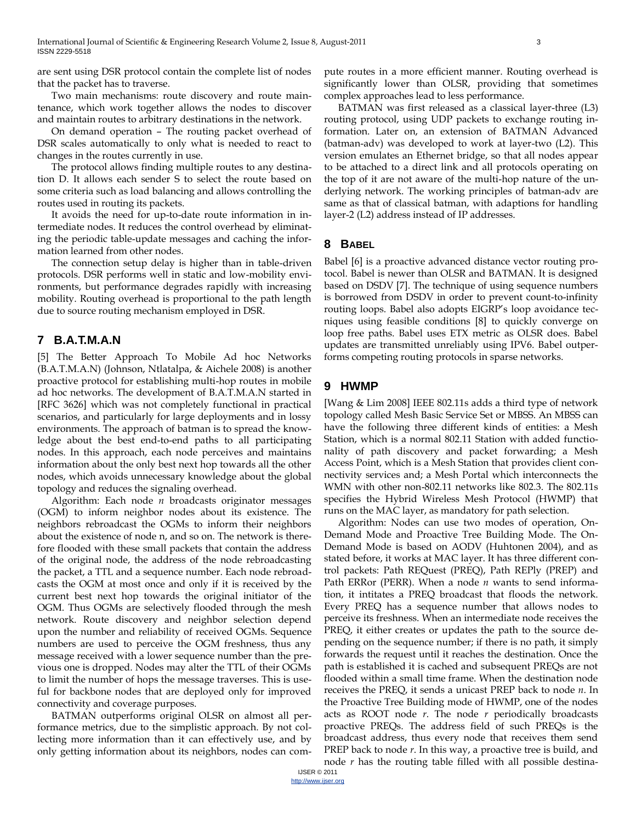are sent using DSR protocol contain the complete list of nodes that the packet has to traverse.

Two main mechanisms: route discovery and route maintenance, which work together allows the nodes to discover and maintain routes to arbitrary destinations in the network.

On demand operation – The routing packet overhead of DSR scales automatically to only what is needed to react to changes in the routes currently in use.

The protocol allows finding multiple routes to any destination D. It allows each sender S to select the route based on some criteria such as load balancing and allows controlling the routes used in routing its packets.

It avoids the need for up-to-date route information in intermediate nodes. It reduces the control overhead by eliminating the periodic table-update messages and caching the information learned from other nodes.

The connection setup delay is higher than in table-driven protocols. DSR performs well in static and low-mobility environments, but performance degrades rapidly with increasing mobility. Routing overhead is proportional to the path length due to source routing mechanism employed in DSR.

# **7 B.A.T.M.A.N**

[5] The Better Approach To Mobile Ad hoc Networks (B.A.T.M.A.N) (Johnson, Ntlatalpa, & Aichele 2008) is another proactive protocol for establishing multi-hop routes in mobile ad hoc networks. The development of B.A.T.M.A.N started in [RFC 3626] which was not completely functional in practical scenarios, and particularly for large deployments and in lossy environments. The approach of batman is to spread the knowledge about the best end-to-end paths to all participating nodes. In this approach, each node perceives and maintains information about the only best next hop towards all the other nodes, which avoids unnecessary knowledge about the global topology and reduces the signaling overhead.

Algorithm: Each node *n* broadcasts originator messages (OGM) to inform neighbor nodes about its existence. The neighbors rebroadcast the OGMs to inform their neighbors about the existence of node n, and so on. The network is therefore flooded with these small packets that contain the address of the original node, the address of the node rebroadcasting the packet, a TTL and a sequence number. Each node rebroadcasts the OGM at most once and only if it is received by the current best next hop towards the original initiator of the OGM. Thus OGMs are selectively flooded through the mesh network. Route discovery and neighbor selection depend upon the number and reliability of received OGMs. Sequence numbers are used to perceive the OGM freshness, thus any message received with a lower sequence number than the previous one is dropped. Nodes may alter the TTL of their OGMs to limit the number of hops the message traverses. This is useful for backbone nodes that are deployed only for improved connectivity and coverage purposes.

BATMAN outperforms original OLSR on almost all performance metrics, due to the simplistic approach. By not collecting more information than it can effectively use, and by only getting information about its neighbors, nodes can compute routes in a more efficient manner. Routing overhead is significantly lower than OLSR, providing that sometimes complex approaches lead to less performance.

BATMAN was first released as a classical layer-three (L3) routing protocol, using UDP packets to exchange routing information. Later on, an extension of BATMAN Advanced (batman-adv) was developed to work at layer-two (L2). This version emulates an Ethernet bridge, so that all nodes appear to be attached to a direct link and all protocols operating on the top of it are not aware of the multi-hop nature of the underlying network. The working principles of batman-adv are same as that of classical batman, with adaptions for handling layer-2 (L2) address instead of IP addresses.

## **8 BABEL**

Babel [6] is a proactive advanced distance vector routing protocol. Babel is newer than OLSR and BATMAN. It is designed based on DSDV [7]. The technique of using sequence numbers is borrowed from DSDV in order to prevent count-to-infinity routing loops. Babel also adopts EIGRP's loop avoidance tecniques using feasible conditions [8] to quickly converge on loop free paths. Babel uses ETX metric as OLSR does. Babel updates are transmitted unreliably using IPV6. Babel outperforms competing routing protocols in sparse networks.

## **9 HWMP**

[Wang & Lim 2008] IEEE 802.11s adds a third type of network topology called Mesh Basic Service Set or MBSS. An MBSS can have the following three different kinds of entities: a Mesh Station, which is a normal 802.11 Station with added functionality of path discovery and packet forwarding; a Mesh Access Point, which is a Mesh Station that provides client connectivity services and; a Mesh Portal which interconnects the WMN with other non-802.11 networks like 802.3. The 802.11s specifies the Hybrid Wireless Mesh Protocol (HWMP) that runs on the MAC layer, as mandatory for path selection.

Algorithm: Nodes can use two modes of operation, On-Demand Mode and Proactive Tree Building Mode. The On-Demand Mode is based on AODV (Huhtonen 2004), and as stated before, it works at MAC layer. It has three different control packets: Path REQuest (PREQ), Path REPly (PREP) and Path ERRor (PERR). When a node *n* wants to send information, it intitates a PREQ broadcast that floods the network. Every PREQ has a sequence number that allows nodes to perceive its freshness. When an intermediate node receives the PREQ, it either creates or updates the path to the source depending on the sequence number; if there is no path, it simply forwards the request until it reaches the destination. Once the path is established it is cached and subsequent PREQs are not flooded within a small time frame. When the destination node receives the PREQ, it sends a unicast PREP back to node *n*. In the Proactive Tree Building mode of HWMP, one of the nodes acts as ROOT node *r*. The node *r* periodically broadcasts proactive PREQs. The address field of such PREQs is the broadcast address, thus every node that receives them send PREP back to node *r*. In this way, a proactive tree is build, and node *r* has the routing table filled with all possible destina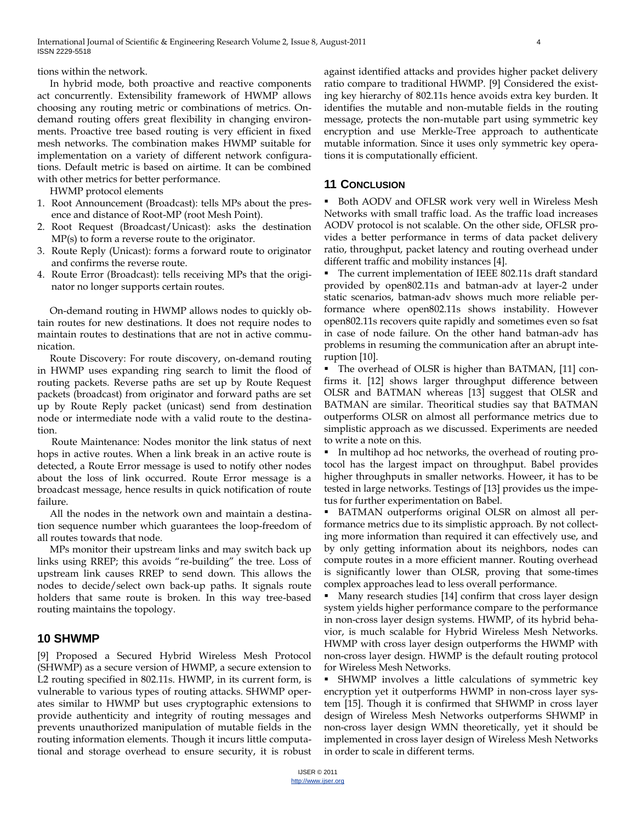tions within the network.

In hybrid mode, both proactive and reactive components act concurrently. Extensibility framework of HWMP allows choosing any routing metric or combinations of metrics. Ondemand routing offers great flexibility in changing environments. Proactive tree based routing is very efficient in fixed mesh networks. The combination makes HWMP suitable for implementation on a variety of different network configurations. Default metric is based on airtime. It can be combined with other metrics for better performance.

HWMP protocol elements

- 1. Root Announcement (Broadcast): tells MPs about the presence and distance of Root-MP (root Mesh Point).
- 2. Root Request (Broadcast/Unicast): asks the destination MP(s) to form a reverse route to the originator.
- 3. Route Reply (Unicast): forms a forward route to originator and confirms the reverse route.
- 4. Route Error (Broadcast): tells receiving MPs that the originator no longer supports certain routes.

On-demand routing in HWMP allows nodes to quickly obtain routes for new destinations. It does not require nodes to maintain routes to destinations that are not in active communication.

Route Discovery: For route discovery, on-demand routing in HWMP uses expanding ring search to limit the flood of routing packets. Reverse paths are set up by Route Request packets (broadcast) from originator and forward paths are set up by Route Reply packet (unicast) send from destination node or intermediate node with a valid route to the destination.

Route Maintenance: Nodes monitor the link status of next hops in active routes. When a link break in an active route is detected, a Route Error message is used to notify other nodes about the loss of link occurred. Route Error message is a broadcast message, hence results in quick notification of route failure.

All the nodes in the network own and maintain a destination sequence number which guarantees the loop-freedom of all routes towards that node.

MPs monitor their upstream links and may switch back up links using RREP; this avoids "re-building" the tree. Loss of upstream link causes RREP to send down. This allows the nodes to decide/select own back-up paths. It signals route holders that same route is broken. In this way tree-based routing maintains the topology.

## **10 SHWMP**

[9] Proposed a Secured Hybrid Wireless Mesh Protocol (SHWMP) as a secure version of HWMP, a secure extension to L2 routing specified in 802.11s. HWMP, in its current form, is vulnerable to various types of routing attacks. SHWMP operates similar to HWMP but uses cryptographic extensions to provide authenticity and integrity of routing messages and prevents unauthorized manipulation of mutable fields in the routing information elements. Though it incurs little computational and storage overhead to ensure security, it is robust against identified attacks and provides higher packet delivery ratio compare to traditional HWMP. [9] Considered the existing key hierarchy of 802.11s hence avoids extra key burden. It identifies the mutable and non-mutable fields in the routing message, protects the non-mutable part using symmetric key encryption and use Merkle-Tree approach to authenticate mutable information. Since it uses only symmetric key operations it is computationally efficient.

### **11 CONCLUSION**

■ Both AODV and OFLSR work very well in Wireless Mesh Networks with small traffic load. As the traffic load increases AODV protocol is not scalable. On the other side, OFLSR provides a better performance in terms of data packet delivery ratio, throughput, packet latency and routing overhead under different traffic and mobility instances [4].

 The current implementation of IEEE 802.11s draft standard provided by open802.11s and batman-adv at layer-2 under static scenarios, batman-adv shows much more reliable performance where open802.11s shows instability. However open802.11s recovers quite rapidly and sometimes even so fsat in case of node failure. On the other hand batman-adv has problems in resuming the communication after an abrupt interuption [10].

 The overhead of OLSR is higher than BATMAN, [11] confirms it. [12] shows larger throughput difference between OLSR and BATMAN whereas [13] suggest that OLSR and BATMAN are similar. Theoritical studies say that BATMAN outperforms OLSR on almost all performance metrics due to simplistic approach as we discussed. Experiments are needed to write a note on this.

 In multihop ad hoc networks, the overhead of routing protocol has the largest impact on throughput. Babel provides higher throughputs in smaller networks. Howeer, it has to be tested in large networks. Testings of [13] provides us the impetus for further experimentation on Babel.

 BATMAN outperforms original OLSR on almost all performance metrics due to its simplistic approach. By not collecting more information than required it can effectively use, and by only getting information about its neighbors, nodes can compute routes in a more efficient manner. Routing overhead is significantly lower than OLSR, proving that some-times complex approaches lead to less overall performance.

 Many research studies [14] confirm that cross layer design system yields higher performance compare to the performance in non-cross layer design systems. HWMP, of its hybrid behavior, is much scalable for Hybrid Wireless Mesh Networks. HWMP with cross layer design outperforms the HWMP with non-cross layer design. HWMP is the default routing protocol for Wireless Mesh Networks.

 SHWMP involves a little calculations of symmetric key encryption yet it outperforms HWMP in non-cross layer system [15]. Though it is confirmed that SHWMP in cross layer design of Wireless Mesh Networks outperforms SHWMP in non-cross layer design WMN theoretically, yet it should be implemented in cross layer design of Wireless Mesh Networks in order to scale in different terms.